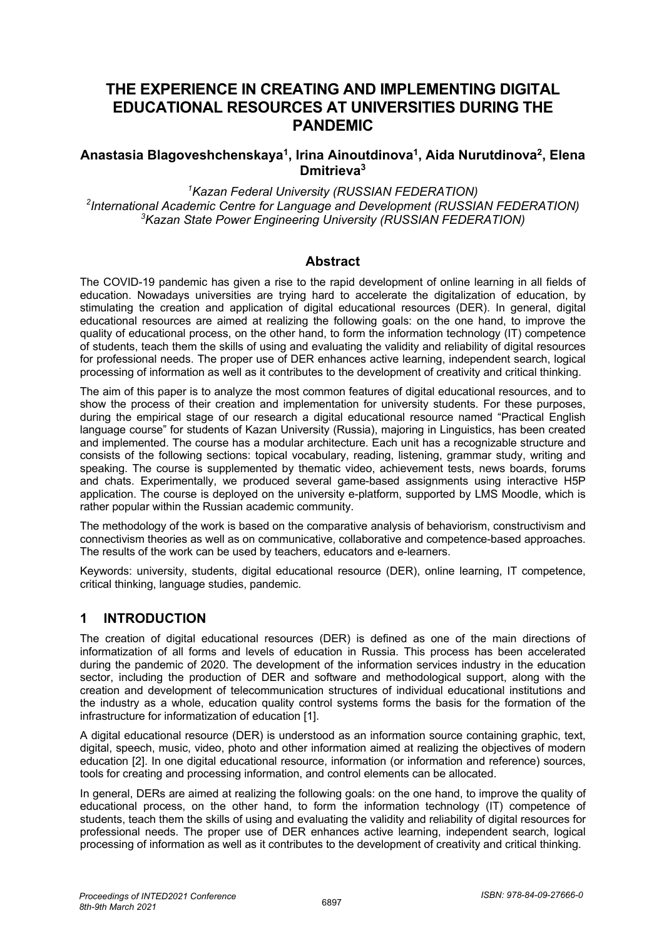# **THE EXPERIENCE IN CREATING AND IMPLEMENTING DIGITAL EDUCATIONAL RESOURCES AT UNIVERSITIES DURING THE PANDEMIC**

### **Anastasia Blagoveshchenskaya1, Irina Ainoutdinova1, Aida Nurutdinova2, Elena Dmitrieva3**

*1 Kazan Federal University (RUSSIAN FEDERATION) 2 International Academic Centre for Language and Development (RUSSIAN FEDERATION) 3 Kazan State Power Engineering University (RUSSIAN FEDERATION)*

#### **Abstract**

The COVID-19 pandemic has given a rise to the rapid development of online learning in all fields of education. Nowadays universities are trying hard to accelerate the digitalization of education, by stimulating the creation and application of digital educational resources (DER). In general, digital educational resources are aimed at realizing the following goals: on the one hand, to improve the quality of educational process, on the other hand, to form the information technology (IT) competence of students, teach them the skills of using and evaluating the validity and reliability of digital resources for professional needs. The proper use of DER enhances active learning, independent search, logical processing of information as well as it contributes to the development of creativity and critical thinking.

The aim of this paper is to analyze the most common features of digital educational resources, and to show the process of their creation and implementation for university students. For these purposes, during the empirical stage of our research a digital educational resource named "Practical English language course" for students of Kazan University (Russia), majoring in Linguistics, has been created and implemented. The course has a modular architecture. Each unit has a recognizable structure and consists of the following sections: topical vocabulary, reading, listening, grammar study, writing and speaking. The course is supplemented by thematic video, achievement tests, news boards, forums and chats. Experimentally, we produced several game-based assignments using interactive H5P application. The course is deployed on the university e-platform, supported by LMS Moodle, which is rather popular within the Russian academic community.

The methodology of the work is based on the comparative analysis of behaviorism, constructivism and connectivism theories as well as on communicative, collaborative and competence-based approaches. The results of the work can be used by teachers, educators and e-learners.

Keywords: university, students, digital educational resource (DER), online learning, IT competence, critical thinking, language studies, pandemic.

#### **1 INTRODUCTION**

The creation of digital educational resources (DER) is defined as one of the main directions of informatization of all forms and levels of education in Russia. This process has been accelerated during the pandemic of 2020. The development of the information services industry in the education sector, including the production of DER and software and methodological support, along with the creation and development of telecommunication structures of individual educational institutions and the industry as a whole, education quality control systems forms the basis for the formation of the infrastructure for informatization of education [1].

A digital educational resource (DER) is understood as an information source containing graphic, text, digital, speech, music, video, photo and other information aimed at realizing the objectives of modern education [2]. In one digital educational resource, information (or information and reference) sources, tools for creating and processing information, and control elements can be allocated.

In general, DERs are aimed at realizing the following goals: on the one hand, to improve the quality of educational process, on the other hand, to form the information technology (IT) competence of students, teach them the skills of using and evaluating the validity and reliability of digital resources for professional needs. The proper use of DER enhances active learning, independent search, logical processing of information as well as it contributes to the development of creativity and critical thinking.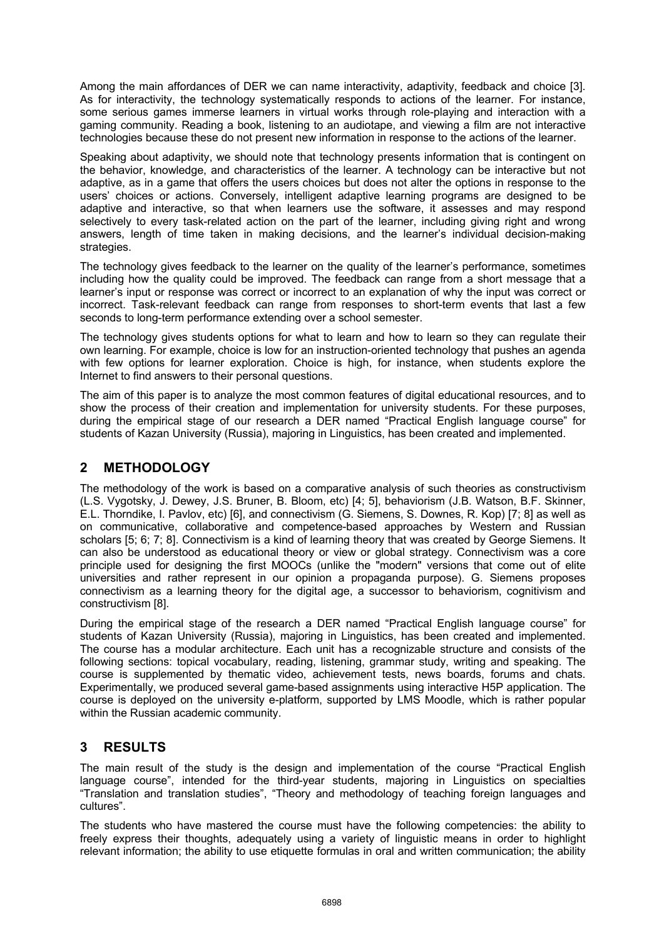Among the main affordances of DER we can name interactivity, adaptivity, feedback and choice [3]. As for interactivity, the technology systematically responds to actions of the learner. For instance, some serious games immerse learners in virtual works through role-playing and interaction with a gaming community. Reading a book, listening to an audiotape, and viewing a film are not interactive technologies because these do not present new information in response to the actions of the learner.

Speaking about adaptivity, we should note that technology presents information that is contingent on the behavior, knowledge, and characteristics of the learner. A technology can be interactive but not adaptive, as in a game that offers the users choices but does not alter the options in response to the users' choices or actions. Conversely, intelligent adaptive learning programs are designed to be adaptive and interactive, so that when learners use the software, it assesses and may respond selectively to every task-related action on the part of the learner, including giving right and wrong answers, length of time taken in making decisions, and the learner's individual decision-making strategies.

The technology gives feedback to the learner on the quality of the learner's performance, sometimes including how the quality could be improved. The feedback can range from a short message that a learner's input or response was correct or incorrect to an explanation of why the input was correct or incorrect. Task-relevant feedback can range from responses to short-term events that last a few seconds to long-term performance extending over a school semester.

The technology gives students options for what to learn and how to learn so they can regulate their own learning. For example, choice is low for an instruction-oriented technology that pushes an agenda with few options for learner exploration. Choice is high, for instance, when students explore the Internet to find answers to their personal questions.

The aim of this paper is to analyze the most common features of digital educational resources, and to show the process of their creation and implementation for university students. For these purposes, during the empirical stage of our research a DER named "Practical English language course" for students of Kazan University (Russia), majoring in Linguistics, has been created and implemented.

## **2 METHODOLOGY**

The methodology of the work is based on a comparative analysis of such theories as constructivism (L.S. Vygotsky, J. Dewey, J.S. Bruner, B. Bloom, etc) [4; 5], behaviorism (J.B. Watson, B.F. Skinner, E.L. Thorndike, I. Pavlov, etc) [6], and connectivism (G. Siemens, S. Downes, R. Kop) [7; 8] as well as on communicative, collaborative and competence-based approaches by Western and Russian scholars [5; 6; 7; 8]. Connectivism is a kind of learning theory that was created by George Siemens. It can also be understood as educational theory or view or global strategy. Connectivism was a core principle used for designing the first MOOCs (unlike the "modern" versions that come out of elite universities and rather represent in our opinion a propaganda purpose). G. Siemens proposes connectivism as a learning theory for the digital age, a successor to behaviorism, cognitivism and constructivism [8].

During the empirical stage of the research a DER named "Practical English language course" for students of Kazan University (Russia), majoring in Linguistics, has been created and implemented. The course has a modular architecture. Each unit has a recognizable structure and consists of the following sections: topical vocabulary, reading, listening, grammar study, writing and speaking. The course is supplemented by thematic video, achievement tests, news boards, forums and chats. Experimentally, we produced several game-based assignments using interactive H5P application. The course is deployed on the university e-platform, supported by LMS Moodle, which is rather popular within the Russian academic community.

## **3 RESULTS**

The main result of the study is the design and implementation of the course "Practical English language course", intended for the third-year students, majoring in Linguistics on specialties "Translation and translation studies", "Theory and methodology of teaching foreign languages and cultures".

The students who have mastered the course must have the following competencies: the ability to freely express their thoughts, adequately using a variety of linguistic means in order to highlight relevant information; the ability to use etiquette formulas in oral and written communication; the ability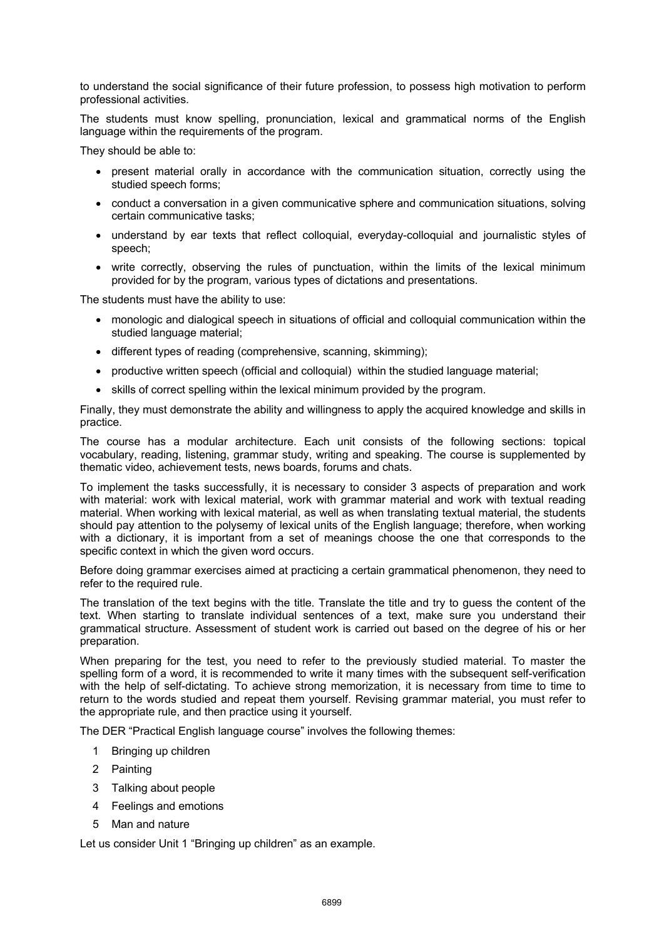to understand the social significance of their future profession, to possess high motivation to perform professional activities.

The students must know spelling, pronunciation, lexical and grammatical norms of the English language within the requirements of the program.

They should be able to:

- present material orally in accordance with the communication situation, correctly using the studied speech forms;
- conduct a conversation in a given communicative sphere and communication situations, solving certain communicative tasks;
- understand by ear texts that reflect colloquial, everyday-colloquial and journalistic styles of speech;
- write correctly, observing the rules of punctuation, within the limits of the lexical minimum provided for by the program, various types of dictations and presentations.

The students must have the ability to use:

- monologic and dialogical speech in situations of official and colloquial communication within the studied language material;
- different types of reading (comprehensive, scanning, skimming);
- productive written speech (official and colloquial) within the studied language material;
- skills of correct spelling within the lexical minimum provided by the program.

Finally, they must demonstrate the ability and willingness to apply the acquired knowledge and skills in practice.

The course has a modular architecture. Each unit consists of the following sections: topical vocabulary, reading, listening, grammar study, writing and speaking. The course is supplemented by thematic video, achievement tests, news boards, forums and chats.

To implement the tasks successfully, it is necessary to consider 3 aspects of preparation and work with material: work with lexical material, work with grammar material and work with textual reading material. When working with lexical material, as well as when translating textual material, the students should pay attention to the polysemy of lexical units of the English language; therefore, when working with a dictionary, it is important from a set of meanings choose the one that corresponds to the specific context in which the given word occurs.

Before doing grammar exercises aimed at practicing a certain grammatical phenomenon, they need to refer to the required rule.

The translation of the text begins with the title. Translate the title and try to guess the content of the text. When starting to translate individual sentences of a text, make sure you understand their grammatical structure. Assessment of student work is carried out based on the degree of his or her preparation.

When preparing for the test, you need to refer to the previously studied material. To master the spelling form of a word, it is recommended to write it many times with the subsequent self-verification with the help of self-dictating. To achieve strong memorization, it is necessary from time to time to return to the words studied and repeat them yourself. Revising grammar material, you must refer to the appropriate rule, and then practice using it yourself.

The DER "Practical English language course" involves the following themes:

- 1 Bringing up children
- 2 Painting
- 3 Talking about people
- 4 Feelings and emotions
- 5 Man and nature

Let us consider Unit 1 "Bringing up children" as an example.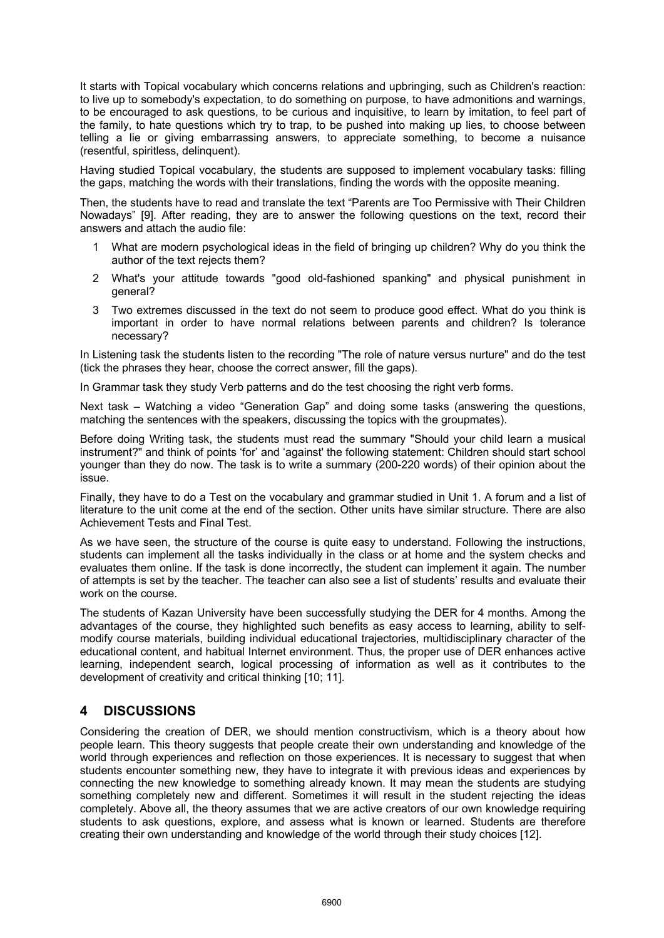It starts with Topical vocabulary which concerns relations and upbringing, such as Children's reaction: to live up to somebody's expectation, to do something on purpose, to have admonitions and warnings, to be encouraged to ask questions, to be curious and inquisitive, to learn by imitation, to feel part of the family, to hate questions which try to trap, to be pushed into making up lies, to choose between telling a lie or giving embarrassing answers, to appreciate something, to become a nuisance (resentful, spiritless, delinquent).

Having studied Topical vocabulary, the students are supposed to implement vocabulary tasks: filling the gaps, matching the words with their translations, finding the words with the opposite meaning.

Then, the students have to read and translate the text "Parents are Too Permissive with Their Children Nowadays" [9]. After reading, they are to answer the following questions on the text, record their answers and attach the audio file:

- 1 What are modern psychological ideas in the field of bringing up children? Why do you think the author of the text rejects them?
- 2 What's your attitude towards "good old-fashioned spanking" and physical punishment in general?
- 3 Two extremes discussed in the text do not seem to produce good effect. What do you think is important in order to have normal relations between parents and children? Is tolerance necessary?

In Listening task the students listen to the recording "The role of nature versus nurture" and do the test (tick the phrases they hear, choose the correct answer, fill the gaps).

In Grammar task they study Verb patterns and do the test choosing the right verb forms.

Next task – Watching a video "Generation Gap" and doing some tasks (answering the questions, matching the sentences with the speakers, discussing the topics with the groupmates).

Before doing Writing task, the students must read the summary "Should your child learn a musical instrument?" and think of points 'for' and 'against' the following statement: Children should start school younger than they do now. The task is to write a summary (200-220 words) of their opinion about the issue.

Finally, they have to do a Test on the vocabulary and grammar studied in Unit 1. A forum and a list of literature to the unit come at the end of the section. Other units have similar structure. There are also Achievement Tests and Final Test.

As we have seen, the structure of the course is quite easy to understand. Following the instructions, students can implement all the tasks individually in the class or at home and the system checks and evaluates them online. If the task is done incorrectly, the student can implement it again. The number of attempts is set by the teacher. The teacher can also see a list of students' results and evaluate their work on the course.

The students of Kazan University have been successfully studying the DER for 4 months. Among the advantages of the course, they highlighted such benefits as easy access to learning, ability to selfmodify course materials, building individual educational trajectories, multidisciplinary character of the educational content, and habitual Internet environment. Thus, the proper use of DER enhances active learning, independent search, logical processing of information as well as it contributes to the development of creativity and critical thinking [10; 11].

## **4 DISCUSSIONS**

Considering the creation of DER, we should mention constructivism, which is a theory about how people learn. This theory suggests that people create their own understanding and knowledge of the world through experiences and reflection on those experiences. It is necessary to suggest that when students encounter something new, they have to integrate it with previous ideas and experiences by connecting the new knowledge to something already known. It may mean the students are studying something completely new and different. Sometimes it will result in the student rejecting the ideas completely. Above all, the theory assumes that we are active creators of our own knowledge requiring students to ask questions, explore, and assess what is known or learned. Students are therefore creating their own understanding and knowledge of the world through their study choices [12].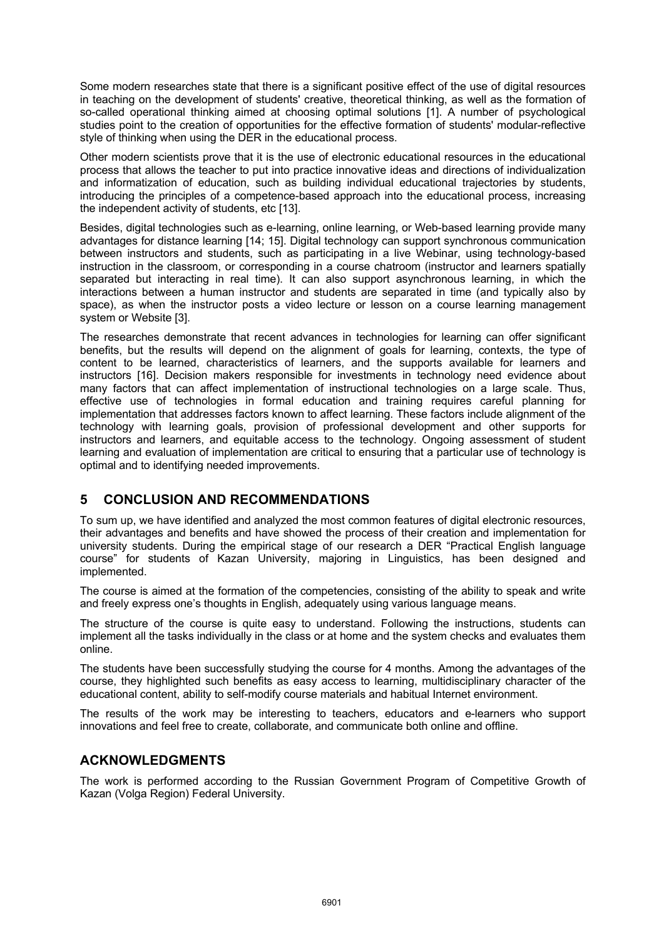Some modern researches state that there is a significant positive effect of the use of digital resources in teaching on the development of students' creative, theoretical thinking, as well as the formation of so-called operational thinking aimed at choosing optimal solutions [1]. A number of psychological studies point to the creation of opportunities for the effective formation of students' modular-reflective style of thinking when using the DER in the educational process.

Other modern scientists prove that it is the use of electronic educational resources in the educational process that allows the teacher to put into practice innovative ideas and directions of individualization and informatization of education, such as building individual educational trajectories by students, introducing the principles of a competence-based approach into the educational process, increasing the independent activity of students, etc [13].

Besides, digital technologies such as e-learning, online learning, or Web-based learning provide many advantages for distance learning [14; 15]. Digital technology can support synchronous communication between instructors and students, such as participating in a live Webinar, using technology-based instruction in the classroom, or corresponding in a course chatroom (instructor and learners spatially separated but interacting in real time). It can also support asynchronous learning, in which the interactions between a human instructor and students are separated in time (and typically also by space), as when the instructor posts a video lecture or lesson on a course learning management system or Website [3].

The researches demonstrate that recent advances in technologies for learning can offer significant benefits, but the results will depend on the alignment of goals for learning, contexts, the type of content to be learned, characteristics of learners, and the supports available for learners and instructors [16]. Decision makers responsible for investments in technology need evidence about many factors that can affect implementation of instructional technologies on a large scale. Thus, effective use of technologies in formal education and training requires careful planning for implementation that addresses factors known to affect learning. These factors include alignment of the technology with learning goals, provision of professional development and other supports for instructors and learners, and equitable access to the technology. Ongoing assessment of student learning and evaluation of implementation are critical to ensuring that a particular use of technology is optimal and to identifying needed improvements.

## **5 CONCLUSION AND RECOMMENDATIONS**

To sum up, we have identified and analyzed the most common features of digital electronic resources, their advantages and benefits and have showed the process of their creation and implementation for university students. During the empirical stage of our research a DER "Practical English language course" for students of Kazan University, majoring in Linguistics, has been designed and implemented.

The course is aimed at the formation of the competencies, consisting of the ability to speak and write and freely express one's thoughts in English, adequately using various language means.

The structure of the course is quite easy to understand. Following the instructions, students can implement all the tasks individually in the class or at home and the system checks and evaluates them online.

The students have been successfully studying the course for 4 months. Among the advantages of the course, they highlighted such benefits as easy access to learning, multidisciplinary character of the educational content, ability to self-modify course materials and habitual Internet environment.

The results of the work may be interesting to teachers, educators and e-learners who support innovations and feel free to create, collaborate, and communicate both online and offline.

#### **ACKNOWLEDGMENTS**

The work is performed according to the Russian Government Program of Competitive Growth of Kazan (Volga Region) Federal University.